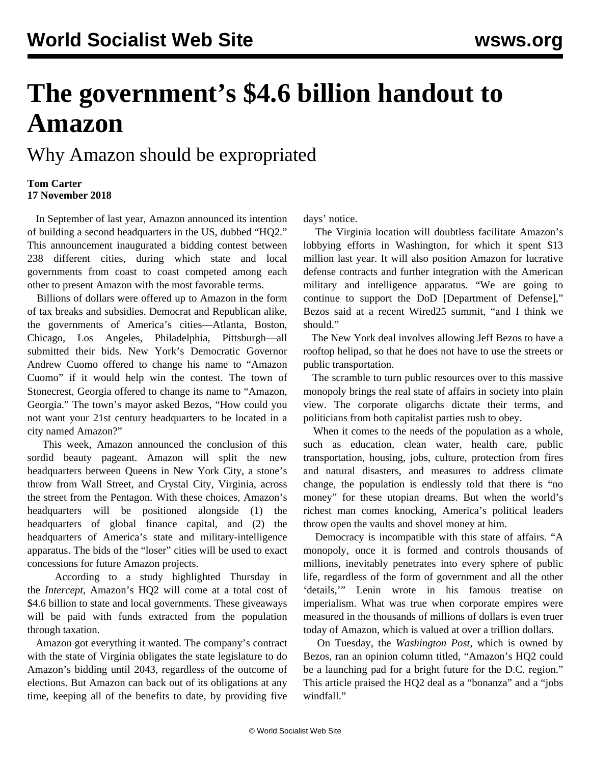## **The government's \$4.6 billion handout to Amazon**

## Why Amazon should be expropriated

## **Tom Carter 17 November 2018**

 In September of last year, Amazon announced its intention of building a second headquarters in the US, dubbed "HQ2." This announcement inaugurated a bidding contest between 238 different cities, during which state and local governments from coast to coast competed among each other to present Amazon with the most favorable terms.

 Billions of dollars were offered up to Amazon in the form of tax breaks and subsidies. Democrat and Republican alike, the governments of America's cities—Atlanta, Boston, Chicago, Los Angeles, Philadelphia, Pittsburgh—all submitted their bids. New York's Democratic Governor Andrew Cuomo offered to change his name to "Amazon Cuomo" if it would help win the contest. The town of Stonecrest, Georgia offered to change its name to "Amazon, Georgia." The town's mayor asked Bezos, "How could you not want your 21st century headquarters to be located in a city named Amazon?"

 This week, Amazon announced the conclusion of this sordid beauty pageant. Amazon will split the new headquarters between Queens in New York City, a stone's throw from Wall Street, and Crystal City, Virginia, across the street from the Pentagon. With these choices, Amazon's headquarters will be positioned alongside (1) the headquarters of global finance capital, and (2) the headquarters of America's state and military-intelligence apparatus. The bids of the "loser" cities will be used to exact concessions for future Amazon projects.

 According to a study highlighted Thursday in the *Intercept*, Amazon's HQ2 will come at a total cost of \$4.6 billion to state and local governments. These giveaways will be paid with funds extracted from the population through taxation.

 Amazon got everything it wanted. The company's contract with the state of Virginia obligates the state legislature to do Amazon's bidding until 2043, regardless of the outcome of elections. But Amazon can back out of its obligations at any time, keeping all of the benefits to date, by providing five

days' notice.

 The Virginia location will doubtless facilitate Amazon's lobbying efforts in Washington, for which it spent \$13 million last year. It will also position Amazon for lucrative defense contracts and further integration with the American military and intelligence apparatus. "We are going to continue to support the DoD [Department of Defense]," Bezos said at a recent Wired25 summit, "and I think we should."

 The New York deal involves allowing Jeff Bezos to have a rooftop helipad, so that he does not have to use the streets or public transportation.

 The scramble to turn public resources over to this massive monopoly brings the real state of affairs in society into plain view. The corporate oligarchs dictate their terms, and politicians from both capitalist parties rush to obey.

 When it comes to the needs of the population as a whole, such as education, clean water, health care, public transportation, housing, jobs, culture, protection from fires and natural disasters, and measures to address climate change, the population is endlessly told that there is "no money" for these utopian dreams. But when the world's richest man comes knocking, America's political leaders throw open the vaults and shovel money at him.

 Democracy is incompatible with this state of affairs. "A monopoly, once it is formed and controls thousands of millions, inevitably penetrates into every sphere of public life, regardless of the form of government and all the other 'details,'" Lenin wrote in his famous treatise on imperialism. What was true when corporate empires were measured in the thousands of millions of dollars is even truer today of Amazon, which is valued at over a trillion dollars.

 On Tuesday, the *Washington Post*, which is owned by Bezos, ran an opinion column titled, "Amazon's HQ2 could be a launching pad for a bright future for the D.C. region." This article praised the HQ2 deal as a "bonanza" and a "jobs windfall."